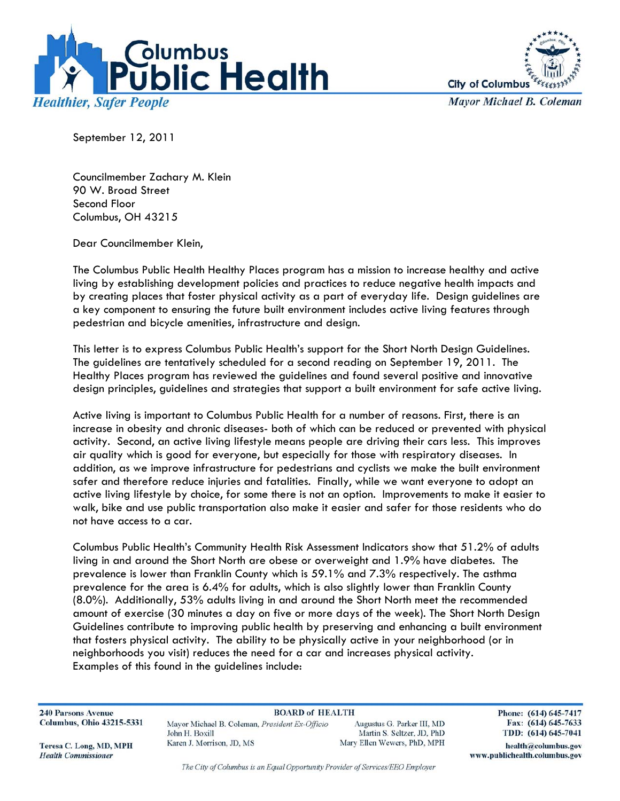



**Mayor Michael B. Coleman** 

September 12, 2011

Councilmember Zachary M. Klein 90 W. Broad Street Second Floor Columbus, OH 43215

Dear Councilmember Klein,

The Columbus Public Health Healthy Places program has a mission to increase healthy and active living by establishing development policies and practices to reduce negative health impacts and by creating places that foster physical activity as a part of everyday life. Design guidelines are a key component to ensuring the future built environment includes active living features through pedestrian and bicycle amenities, infrastructure and design.

This letter is to express Columbus Public Health's support for the Short North Design Guidelines. The guidelines are tentatively scheduled for a second reading on September 19, 2011. The Healthy Places program has reviewed the guidelines and found several positive and innovative design principles, guidelines and strategies that support a built environment for safe active living.

Active living is important to Columbus Public Health for a number of reasons. First, there is an increase in obesity and chronic diseases- both of which can be reduced or prevented with physical activity. Second, an active living lifestyle means people are driving their cars less. This improves air quality which is good for everyone, but especially for those with respiratory diseases. In addition, as we improve infrastructure for pedestrians and cyclists we make the built environment safer and therefore reduce injuries and fatalities. Finally, while we want everyone to adopt an active living lifestyle by choice, for some there is not an option. Improvements to make it easier to walk, bike and use public transportation also make it easier and safer for those residents who do not have access to a car.

Columbus Public Health's Community Health Risk Assessment Indicators show that 51.2% of adults living in and around the Short North are obese or overweight and 1.9% have diabetes. The prevalence is lower than Franklin County which is 59.1% and 7.3% respectively. The asthma prevalence for the area is 6.4% for adults, which is also slightly lower than Franklin County (8.0%). Additionally, 53% adults living in and around the Short North meet the recommended amount of exercise (30 minutes a day on five or more days of the week). The Short North Design Guidelines contribute to improving public health by preserving and enhancing a built environment that fosters physical activity. The ability to be physically active in your neighborhood (or in neighborhoods you visit) reduces the need for a car and increases physical activity. Examples of this found in the guidelines include:

**240 Parsons Avenue Columbus, Ohio 43215-5331** 

**BOARD of HEALTH** Mayor Michael B. Coleman, President Ex-Officio John H. Boxill Karen J. Morrison, JD, MS

Augustus G. Parker III, MD Martin S. Seltzer, JD, PhD Mary Ellen Wewers, PhD, MPH Phone: (614) 645-7417 Fax: (614) 645-7633 TDD: (614) 645-7041

Teresa C. Long, MD, MPH **Health Commissioner** 

The City of Columbus is an Equal Opportunity Provider of Services/EEO Employer

health@columbus.gov www.publichealth.columbus.gov